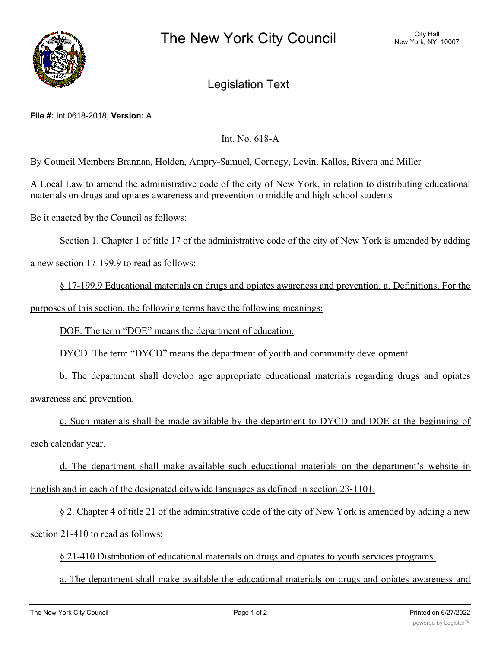

## Legislation Text

## **File #:** Int 0618-2018, **Version:** A

Int. No. 618-A

By Council Members Brannan, Holden, Ampry-Samuel, Cornegy, Levin, Kallos, Rivera and Miller

A Local Law to amend the administrative code of the city of New York, in relation to distributing educational materials on drugs and opiates awareness and prevention to middle and high school students

Be it enacted by the Council as follows:

Section 1. Chapter 1 of title 17 of the administrative code of the city of New York is amended by adding

a new section 17-199.9 to read as follows:

§ 17-199.9 Educational materials on drugs and opiates awareness and prevention. a. Definitions. For the purposes of this section, the following terms have the following meanings:

DOE. The term "DOE" means the department of education.

DYCD. The term "DYCD" means the department of youth and community development.

b. The department shall develop age appropriate educational materials regarding drugs and opiates awareness and prevention.

c. Such materials shall be made available by the department to DYCD and DOE at the beginning of each calendar year.

d. The department shall make available such educational materials on the department's website in English and in each of the designated citywide languages as defined in section 23-1101.

§ 2. Chapter 4 of title 21 of the administrative code of the city of New York is amended by adding a new section 21-410 to read as follows:

§ 21-410 Distribution of educational materials on drugs and opiates to youth services programs.

a. The department shall make available the educational materials on drugs and opiates awareness and